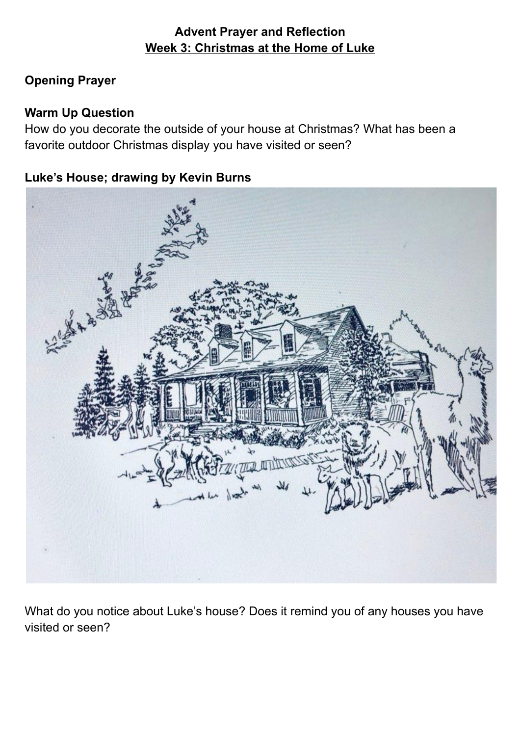## **Advent Prayer and Reflection Week 3: Christmas at the Home of Luke**

# **Opening Prayer**

## **Warm Up Question**

How do you decorate the outside of your house at Christmas? What has been a favorite outdoor Christmas display you have visited or seen?

## **Luke's House; drawing by Kevin Burns**



What do you notice about Luke's house? Does it remind you of any houses you have visited or seen?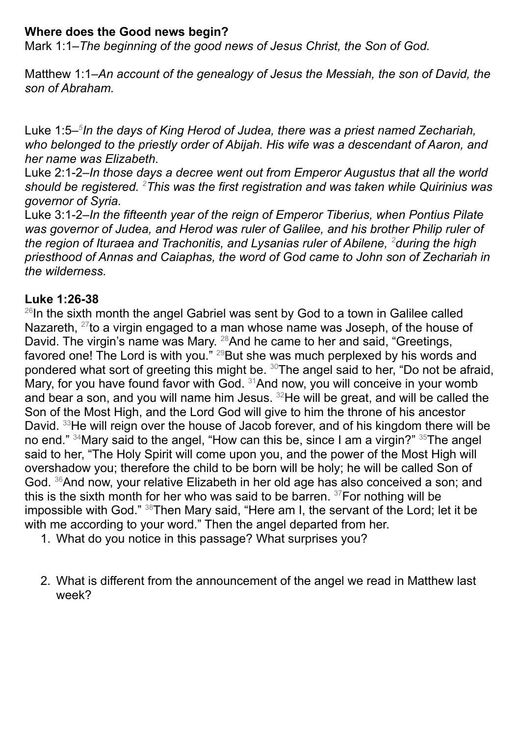#### **Where does the Good news begin?**

Mark 1:1–*The beginning of the good news of Jesus Christ, the Son of God.*

Matthew 1:1–*An account of the genealogy of Jesus the Messiah, the son of David, the son of Abraham.*

Luke 1:5– *5 In the days of King Herod of Judea, there was a priest named Zechariah, who belonged to the priestly order of Abijah. His wife was a descendant of Aaron, and her name was Elizabeth.*

Luke 2:1-2–*In those days a decree went out from Emperor Augustus that all the world should be registered. <sup>2</sup>This was the first registration and was taken while Quirinius was governor of Syria.*

Luke 3:1-2–*In the fifteenth year of the reign of Emperor Tiberius, when Pontius Pilate was governor of Judea, and Herod was ruler of Galilee, and his brother Philip ruler of the region of Ituraea and Trachonitis, and Lysanias ruler of Abilene, <sup>2</sup>during the high priesthood of Annas and Caiaphas, the word of God came to John son of Zechariah in the wilderness.*

#### **Luke 1:26-38**

<sup>26</sup> In the sixth month the angel Gabriel was sent by God to a town in Galilee called Nazareth, <sup>27</sup>to a virgin engaged to a man whose name was Joseph, of the house of David. The virgin's name was Mary. <sup>28</sup> And he came to her and said, "Greetings, favored one! The Lord is with you." <sup>29</sup>But she was much perplexed by his words and pondered what sort of greeting this might be. <sup>30</sup>The angel said to her, "Do not be afraid, Mary, for you have found favor with God. <sup>31</sup> And now, you will conceive in your womb and bear a son, and you will name him Jesus.  $32$ He will be great, and will be called the Son of the Most High, and the Lord God will give to him the throne of his ancestor David. <sup>33</sup>He will reign over the house of Jacob forever, and of his kingdom there will be no end." <sup>34</sup>Mary said to the angel, "How can this be, since I am a virgin?" <sup>35</sup>The angel said to her, "The Holy Spirit will come upon you, and the power of the Most High will overshadow you; therefore the child to be born will be holy; he will be called Son of God. <sup>36</sup> And now, your relative Elizabeth in her old age has also conceived a son; and this is the sixth month for her who was said to be barren. <sup>37</sup>For nothing will be impossible with God." <sup>38</sup>Then Mary said, "Here am I, the servant of the Lord; let it be with me according to your word." Then the angel departed from her.

- 1. What do you notice in this passage? What surprises you?
- 2. What is different from the announcement of the angel we read in Matthew last week?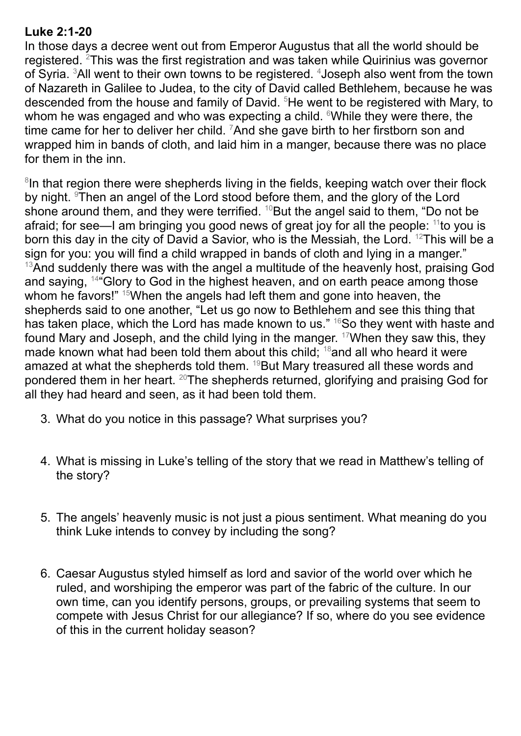#### **Luke 2:1-20**

In those days a decree went out from Emperor Augustus that all the world should be registered. <sup>2</sup>This was the first registration and was taken while Quirinius was governor of Syria. <sup>3</sup>All went to their own towns to be registered. <sup>4</sup>Joseph also went from the town of Nazareth in Galilee to Judea, to the city of David called Bethlehem, because he was descended from the house and family of David. <sup>5</sup>He went to be registered with Mary, to whom he was engaged and who was expecting a child. <sup>6</sup>While they were there, the time came for her to deliver her child.  $7$ And she gave birth to her firstborn son and wrapped him in bands of cloth, and laid him in a manger, because there was no place for them in the inn.

<sup>8</sup>In that region there were shepherds living in the fields, keeping watch over their flock by night. <sup>9</sup>Then an angel of the Lord stood before them, and the glory of the Lord shone around them, and they were terrified.  $^{10}$ But the angel said to them, "Do not be afraid; for see—I am bringing you good news of great joy for all the people: <sup>11</sup> to you is born this day in the city of David a Savior, who is the Messiah, the Lord. <sup>12</sup>This will be a sign for you: you will find a child wrapped in bands of cloth and lying in a manger."  $13$ And suddenly there was with the angel a multitude of the heavenly host, praising God and saying, <sup>14</sup> "Glory to God in the highest heaven, and on earth peace among those whom he favors!" <sup>15</sup>When the angels had left them and gone into heaven, the shepherds said to one another, "Let us go now to Bethlehem and see this thing that has taken place, which the Lord has made known to us." <sup>16</sup>So they went with haste and found Mary and Joseph, and the child lying in the manger. <sup>17</sup>When they saw this, they made known what had been told them about this child; <sup>18</sup> and all who heard it were amazed at what the shepherds told them. <sup>19</sup>But Mary treasured all these words and pondered them in her heart. <sup>20</sup>The shepherds returned, glorifying and praising God for all they had heard and seen, as it had been told them.

- 3. What do you notice in this passage? What surprises you?
- 4. What is missing in Luke's telling of the story that we read in Matthew's telling of the story?
- 5. The angels' heavenly music is not just a pious sentiment. What meaning do you think Luke intends to convey by including the song?
- 6. Caesar Augustus styled himself as lord and savior of the world over which he ruled, and worshiping the emperor was part of the fabric of the culture. In our own time, can you identify persons, groups, or prevailing systems that seem to compete with Jesus Christ for our allegiance? If so, where do you see evidence of this in the current holiday season?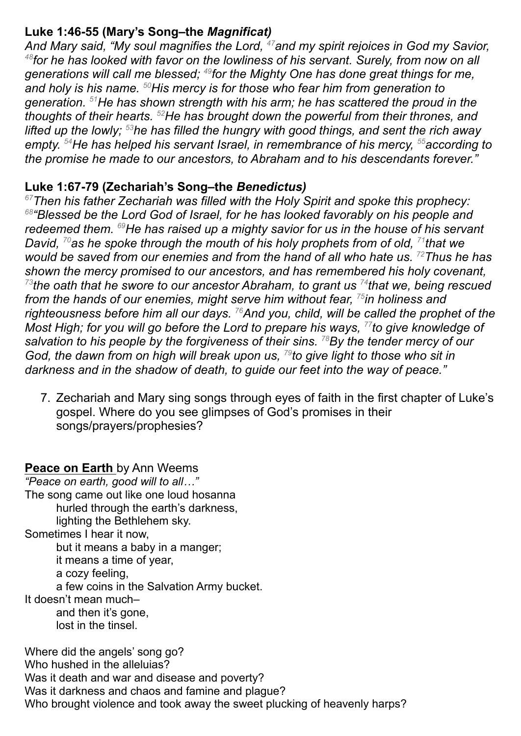#### **Luke 1:46-55 (Mary's Song–the** *Magnificat)*

*And Mary said, "My soul magnifies the Lord, <sup>47</sup>and my spirit rejoices in God my Savior, 48 for he has looked with favor on the lowliness of his servant. Surely, from now on all generations will call me blessed; 49 for the Mighty One has done great things for me, and holy is his name. <sup>50</sup>His mercy is for those who fear him from generation to generation. <sup>51</sup>He has shown strength with his arm; he has scattered the proud in the thoughts of their hearts. <sup>52</sup>He has brought down the powerful from their thrones, and lifted up the lowly; <sup>53</sup>he has filled the hungry with good things, and sent the rich away empty. <sup>54</sup>He has helped his servant Israel, in remembrance of his mercy, <sup>55</sup>according to the promise he made to our ancestors, to Abraham and to his descendants forever."*

#### **Luke 1:67-79 (Zechariah's Song–the** *Benedictus)*

*<sup>67</sup>Then his father Zechariah was filled with the Holy Spirit and spoke this prophecy: 68 "Blessed be the Lord God of Israel, for he has looked favorably on his people and redeemed them. <sup>69</sup>He has raised up a mighty savior for us in the house of his servant David, <sup>70</sup>as he spoke through the mouth of his holy prophets from of old, 71 that we would be saved from our enemies and from the hand of all who hate us. <sup>72</sup>Thus he has shown the mercy promised to our ancestors, and has remembered his holy covenant, 73 the oath that he swore to our ancestor Abraham, to grant us 74 that we, being rescued from the hands of our enemies, might serve him without fear, 75 in holiness and righteousness before him all our days. <sup>76</sup>And you, child, will be called the prophet of the Most High; for you will go before the Lord to prepare his ways, 77 to give knowledge of salvation to his people by the forgiveness of their sins. <sup>78</sup>By the tender mercy of our God, the dawn from on high will break upon us, 79 to give light to those who sit in darkness and in the shadow of death, to guide our feet into the way of peace."*

7. Zechariah and Mary sing songs through eyes of faith in the first chapter of Luke's gospel. Where do you see glimpses of God's promises in their songs/prayers/prophesies?

# **Peace on Earth** by Ann Weems

*"Peace on earth, good will to all…"* The song came out like one loud hosanna hurled through the earth's darkness, lighting the Bethlehem sky. Sometimes I hear it now, but it means a baby in a manger; it means a time of year, a cozy feeling, a few coins in the Salvation Army bucket. It doesn't mean much– and then it's gone, lost in the tinsel.

Where did the angels' song go? Who hushed in the alleluias? Was it death and war and disease and poverty? Was it darkness and chaos and famine and plague? Who brought violence and took away the sweet plucking of heavenly harps?